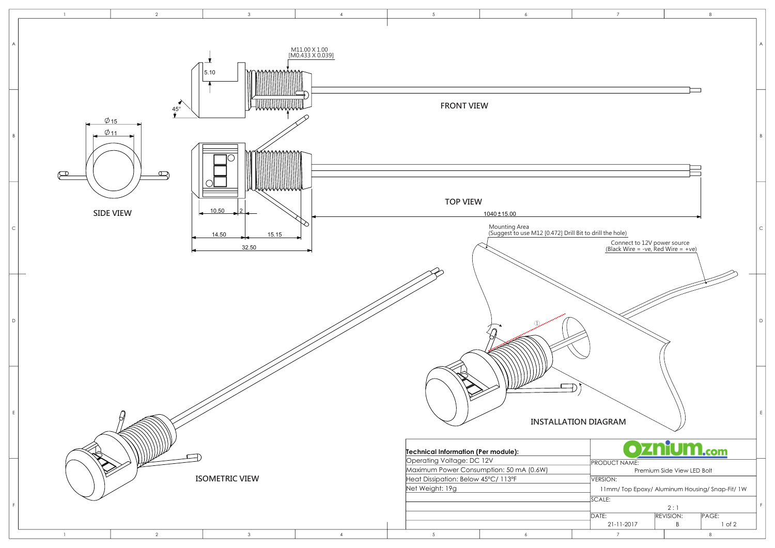